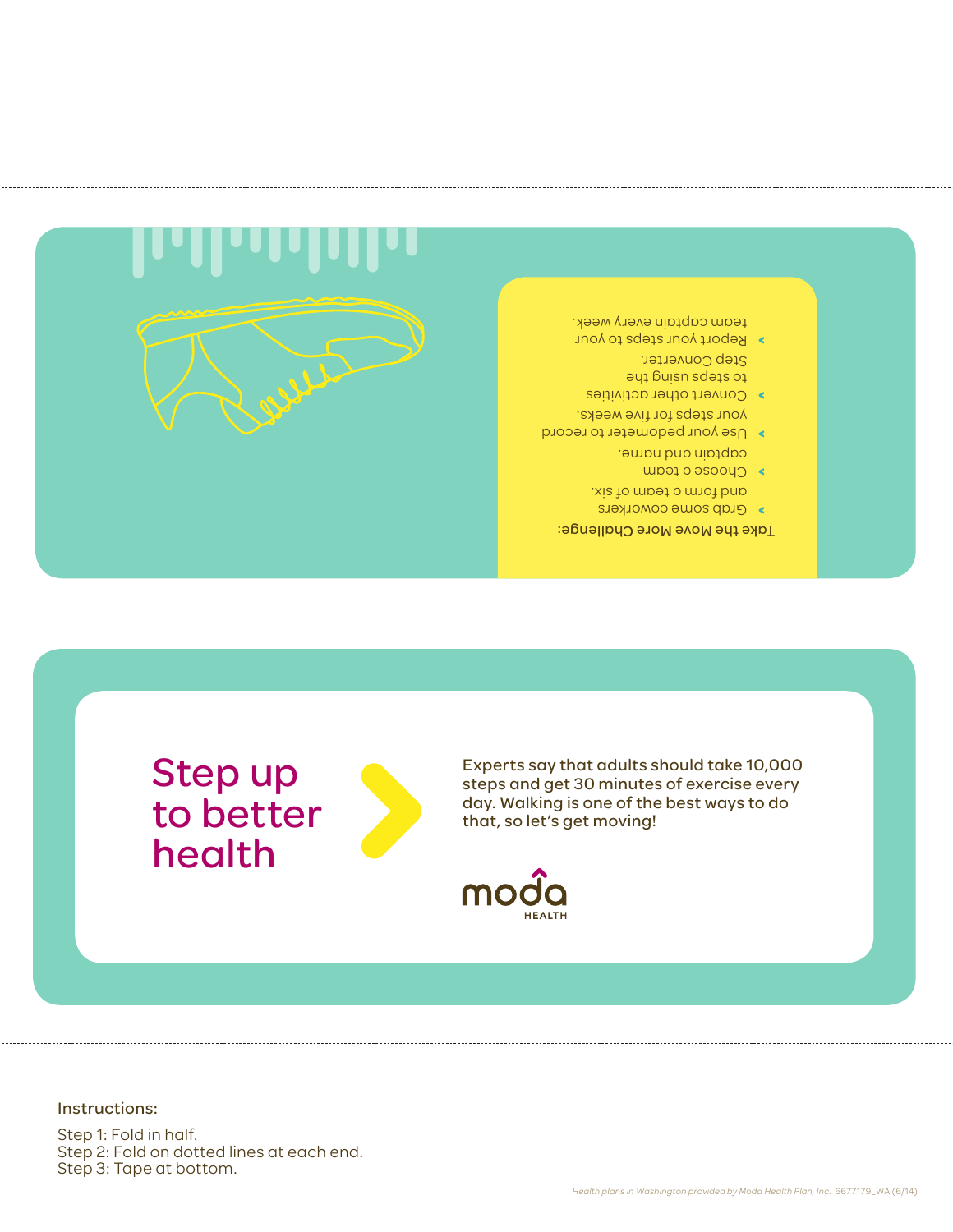## Instructions:

Step 1: Fold in half. Step 2: Fold on dotted lines at each end. Step 3: Tape at bottom.

Step up

health

to better



Experts say that adults should take 10,000 steps and get 30 minutes of exercise every day. Walking is one of the best ways to do that, so let's get moving!



- Take the Move More Challenge: Grab some coworkers **>** and form a team of six. Choose a team **>**
- captain and name.
- Use your pedometer to record **>** your steps for five weeks.
- Convert other activities **>** to stebs ng ipe Step Converter.
- Report your steps to your **>** team captain every week.